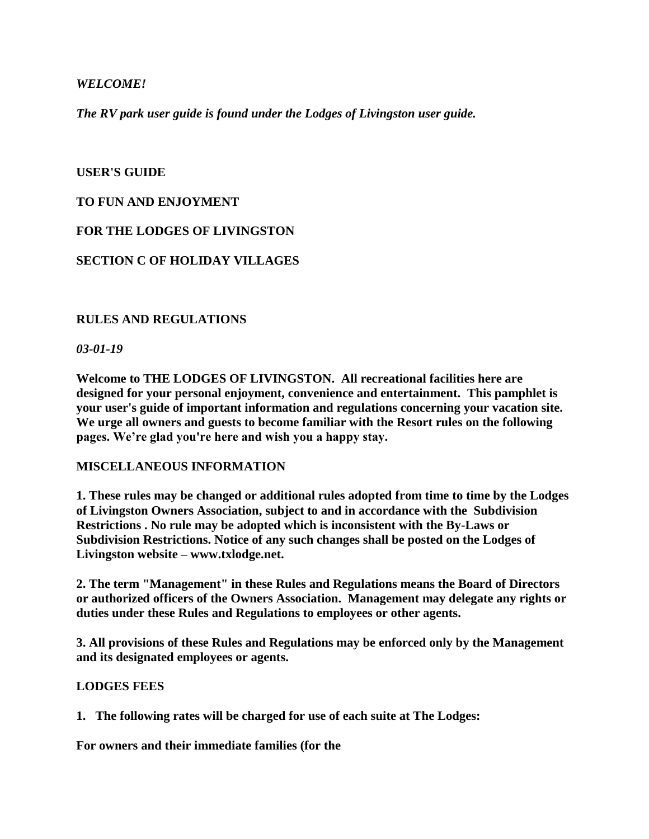## *WELCOME!*

*The RV park user guide is found under the Lodges of Livingston user guide.*

### **USER'S GUIDE**

## **TO FUN AND ENJOYMENT**

**FOR THE LODGES OF LIVINGSTON**

## **SECTION C OF HOLIDAY VILLAGES**

#### **RULES AND REGULATIONS**

#### *03-01-19*

**Welcome to THE LODGES OF LIVINGSTON. All recreational facilities here are designed for your personal enjoyment, convenience and entertainment. This pamphlet is your user's guide of important information and regulations concerning your vacation site. We urge all owners and guests to become familiar with the Resort rules on the following pages. We're glad you're here and wish you a happy stay.**

#### **MISCELLANEOUS INFORMATION**

**1. These rules may be changed or additional rules adopted from time to time by the Lodges of Livingston Owners Association, subject to and in accordance with the Subdivision Restrictions . No rule may be adopted which is inconsistent with the By-Laws or Subdivision Restrictions. Notice of any such changes shall be posted on the Lodges of Livingston website – www.txlodge.net.**

**2. The term "Management" in these Rules and Regulations means the Board of Directors or authorized officers of the Owners Association. Management may delegate any rights or duties under these Rules and Regulations to employees or other agents.**

**3. All provisions of these Rules and Regulations may be enforced only by the Management and its designated employees or agents.**

#### **LODGES FEES**

**1. The following rates will be charged for use of each suite at The Lodges:**

**For owners and their immediate families (for the**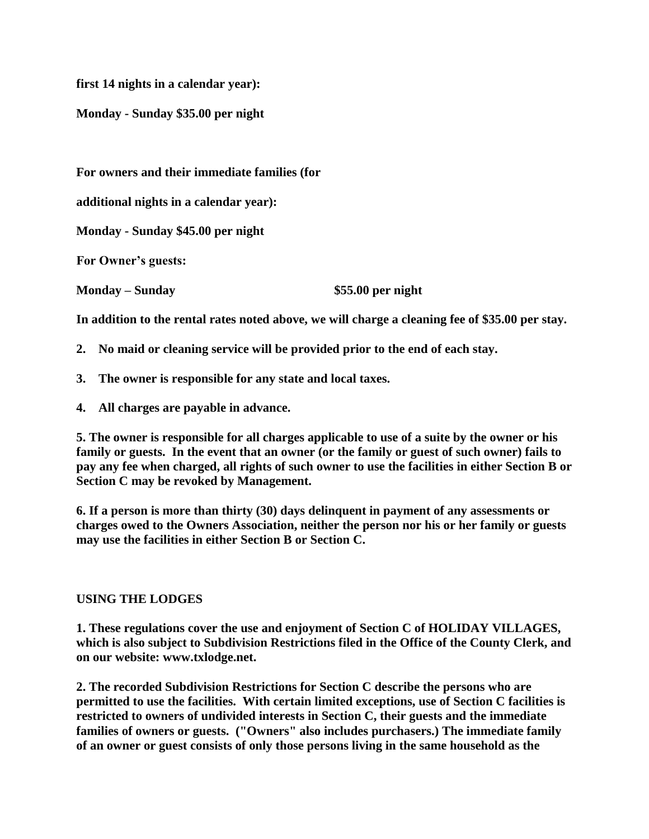**first 14 nights in a calendar year):**

**Monday - Sunday \$35.00 per night**

**For owners and their immediate families (for**

**additional nights in a calendar year):**

**Monday - Sunday \$45.00 per night**

**For Owner's guests:** 

**Monday – Sunday \$55.00 per night**

**In addition to the rental rates noted above, we will charge a cleaning fee of \$35.00 per stay.**

- **2. No maid or cleaning service will be provided prior to the end of each stay.**
- **3. The owner is responsible for any state and local taxes.**
- **4. All charges are payable in advance.**

**5. The owner is responsible for all charges applicable to use of a suite by the owner or his family or guests. In the event that an owner (or the family or guest of such owner) fails to pay any fee when charged, all rights of such owner to use the facilities in either Section B or Section C may be revoked by Management.**

**6. If a person is more than thirty (30) days delinquent in payment of any assessments or charges owed to the Owners Association, neither the person nor his or her family or guests may use the facilities in either Section B or Section C.**

#### **USING THE LODGES**

**1. These regulations cover the use and enjoyment of Section C of HOLIDAY VILLAGES, which is also subject to Subdivision Restrictions filed in the Office of the County Clerk, and on our website: www.txlodge.net.**

**2. The recorded Subdivision Restrictions for Section C describe the persons who are permitted to use the facilities. With certain limited exceptions, use of Section C facilities is restricted to owners of undivided interests in Section C, their guests and the immediate families of owners or guests. ("Owners" also includes purchasers.) The immediate family of an owner or guest consists of only those persons living in the same household as the**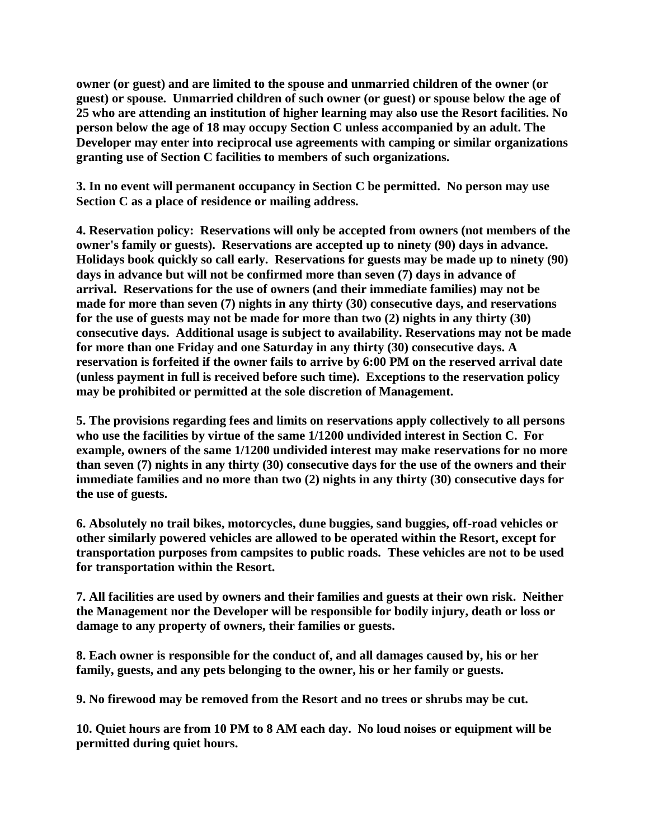**owner (or guest) and are limited to the spouse and unmarried children of the owner (or guest) or spouse. Unmarried children of such owner (or guest) or spouse below the age of 25 who are attending an institution of higher learning may also use the Resort facilities. No person below the age of 18 may occupy Section C unless accompanied by an adult. The Developer may enter into reciprocal use agreements with camping or similar organizations granting use of Section C facilities to members of such organizations.**

**3. In no event will permanent occupancy in Section C be permitted. No person may use Section C as a place of residence or mailing address.**

**4. Reservation policy: Reservations will only be accepted from owners (not members of the owner's family or guests). Reservations are accepted up to ninety (90) days in advance. Holidays book quickly so call early. Reservations for guests may be made up to ninety (90) days in advance but will not be confirmed more than seven (7) days in advance of arrival. Reservations for the use of owners (and their immediate families) may not be made for more than seven (7) nights in any thirty (30) consecutive days, and reservations for the use of guests may not be made for more than two (2) nights in any thirty (30) consecutive days. Additional usage is subject to availability. Reservations may not be made for more than one Friday and one Saturday in any thirty (30) consecutive days. A reservation is forfeited if the owner fails to arrive by 6:00 PM on the reserved arrival date (unless payment in full is received before such time). Exceptions to the reservation policy may be prohibited or permitted at the sole discretion of Management.**

**5. The provisions regarding fees and limits on reservations apply collectively to all persons who use the facilities by virtue of the same 1/1200 undivided interest in Section C. For example, owners of the same 1/1200 undivided interest may make reservations for no more than seven (7) nights in any thirty (30) consecutive days for the use of the owners and their immediate families and no more than two (2) nights in any thirty (30) consecutive days for the use of guests.**

**6. Absolutely no trail bikes, motorcycles, dune buggies, sand buggies, off-road vehicles or other similarly powered vehicles are allowed to be operated within the Resort, except for transportation purposes from campsites to public roads. These vehicles are not to be used for transportation within the Resort.**

**7. All facilities are used by owners and their families and guests at their own risk. Neither the Management nor the Developer will be responsible for bodily injury, death or loss or damage to any property of owners, their families or guests.**

**8. Each owner is responsible for the conduct of, and all damages caused by, his or her family, guests, and any pets belonging to the owner, his or her family or guests.**

**9. No firewood may be removed from the Resort and no trees or shrubs may be cut.**

**10. Quiet hours are from 10 PM to 8 AM each day. No loud noises or equipment will be permitted during quiet hours.**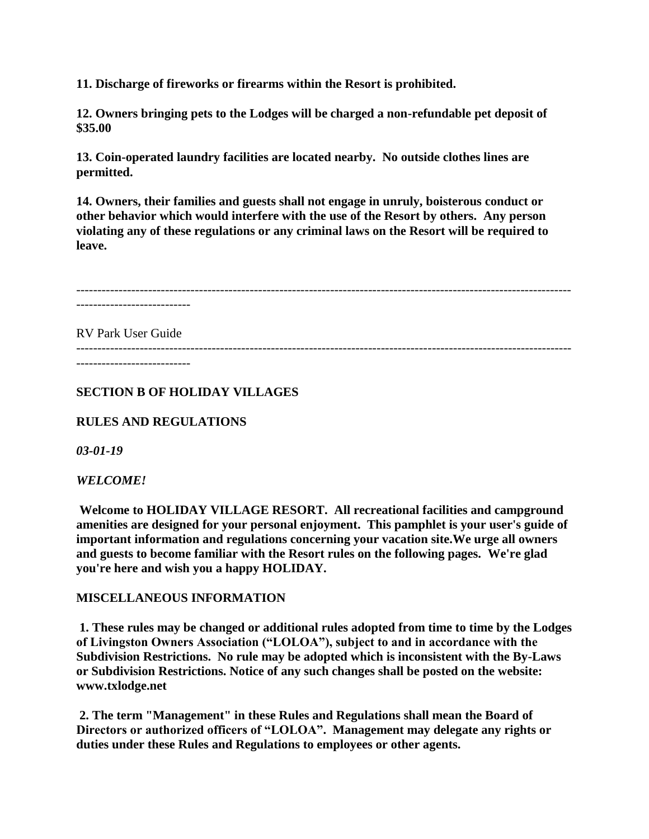**11. Discharge of fireworks or firearms within the Resort is prohibited.**

**12. Owners bringing pets to the Lodges will be charged a non-refundable pet deposit of \$35.00**

**13. Coin-operated laundry facilities are located nearby. No outside clothes lines are permitted.**

**14. Owners, their families and guests shall not engage in unruly, boisterous conduct or other behavior which would interfere with the use of the Resort by others. Any person violating any of these regulations or any criminal laws on the Resort will be required to leave.**

--------------------------------------------------------------------------------------------------------------------- ---------------------------

---------------------------------------------------------------------------------------------------------------------

RV Park User Guide

---------------------------

**SECTION B OF HOLIDAY VILLAGES**

**RULES AND REGULATIONS**

*03-01-19*

*WELCOME!*

**Welcome to HOLIDAY VILLAGE RESORT. All recreational facilities and campground amenities are designed for your personal enjoyment. This pamphlet is your user's guide of important information and regulations concerning your vacation site.We urge all owners and guests to become familiar with the Resort rules on the following pages. We're glad you're here and wish you a happy HOLIDAY.**

#### **MISCELLANEOUS INFORMATION**

**1. These rules may be changed or additional rules adopted from time to time by the Lodges of Livingston Owners Association ("LOLOA"), subject to and in accordance with the Subdivision Restrictions. No rule may be adopted which is inconsistent with the By-Laws or Subdivision Restrictions. Notice of any such changes shall be posted on the website: www.txlodge.net**

**2. The term "Management" in these Rules and Regulations shall mean the Board of Directors or authorized officers of "LOLOA". Management may delegate any rights or duties under these Rules and Regulations to employees or other agents.**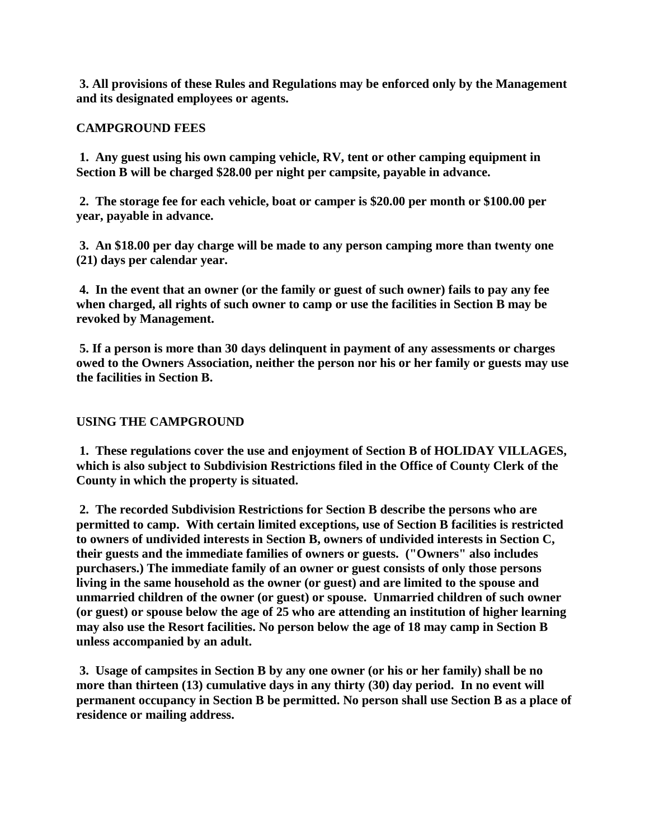**3. All provisions of these Rules and Regulations may be enforced only by the Management and its designated employees or agents.**

# **CAMPGROUND FEES**

**1. Any guest using his own camping vehicle, RV, tent or other camping equipment in Section B will be charged \$28.00 per night per campsite, payable in advance.**

**2. The storage fee for each vehicle, boat or camper is \$20.00 per month or \$100.00 per year, payable in advance.**

**3. An \$18.00 per day charge will be made to any person camping more than twenty one (21) days per calendar year.**

**4. In the event that an owner (or the family or guest of such owner) fails to pay any fee when charged, all rights of such owner to camp or use the facilities in Section B may be revoked by Management.**

**5. If a person is more than 30 days delinquent in payment of any assessments or charges owed to the Owners Association, neither the person nor his or her family or guests may use the facilities in Section B.**

# **USING THE CAMPGROUND**

**1. These regulations cover the use and enjoyment of Section B of HOLIDAY VILLAGES, which is also subject to Subdivision Restrictions filed in the Office of County Clerk of the County in which the property is situated.**

**2. The recorded Subdivision Restrictions for Section B describe the persons who are permitted to camp. With certain limited exceptions, use of Section B facilities is restricted to owners of undivided interests in Section B, owners of undivided interests in Section C, their guests and the immediate families of owners or guests. ("Owners" also includes purchasers.) The immediate family of an owner or guest consists of only those persons living in the same household as the owner (or guest) and are limited to the spouse and unmarried children of the owner (or guest) or spouse. Unmarried children of such owner (or guest) or spouse below the age of 25 who are attending an institution of higher learning may also use the Resort facilities. No person below the age of 18 may camp in Section B unless accompanied by an adult.**

**3. Usage of campsites in Section B by any one owner (or his or her family) shall be no more than thirteen (13) cumulative days in any thirty (30) day period. In no event will permanent occupancy in Section B be permitted. No person shall use Section B as a place of residence or mailing address.**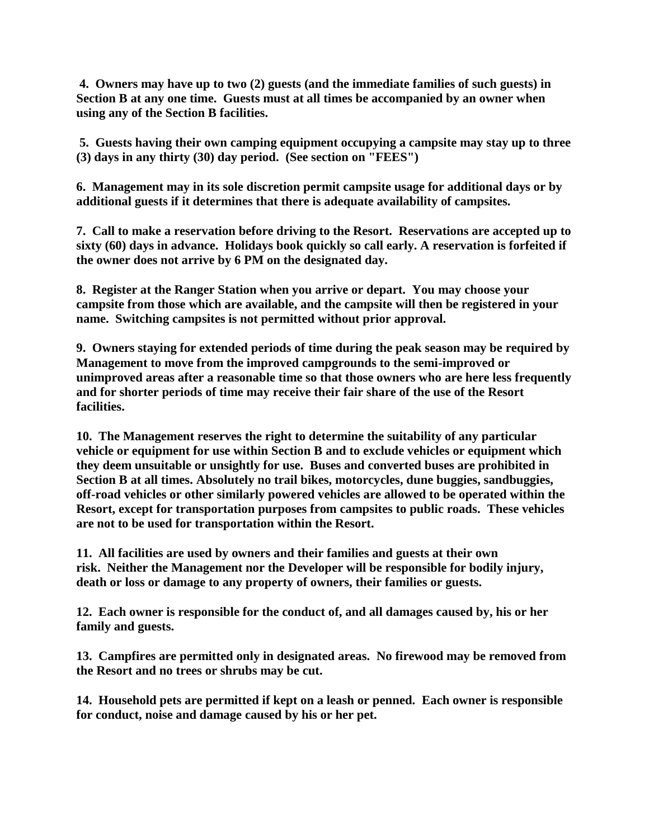**4. Owners may have up to two (2) guests (and the immediate families of such guests) in Section B at any one time. Guests must at all times be accompanied by an owner when using any of the Section B facilities.**

**5. Guests having their own camping equipment occupying a campsite may stay up to three (3) days in any thirty (30) day period. (See section on "FEES")**

**6. Management may in its sole discretion permit campsite usage for additional days or by additional guests if it determines that there is adequate availability of campsites.**

**7. Call to make a reservation before driving to the Resort. Reservations are accepted up to sixty (60) days in advance. Holidays book quickly so call early. A reservation is forfeited if the owner does not arrive by 6 PM on the designated day.**

**8. Register at the Ranger Station when you arrive or depart. You may choose your campsite from those which are available, and the campsite will then be registered in your name. Switching campsites is not permitted without prior approval.**

**9. Owners staying for extended periods of time during the peak season may be required by Management to move from the improved campgrounds to the semi-improved or unimproved areas after a reasonable time so that those owners who are here less frequently and for shorter periods of time may receive their fair share of the use of the Resort facilities.**

**10. The Management reserves the right to determine the suitability of any particular vehicle or equipment for use within Section B and to exclude vehicles or equipment which they deem unsuitable or unsightly for use. Buses and converted buses are prohibited in Section B at all times. Absolutely no trail bikes, motorcycles, dune buggies, sandbuggies, off-road vehicles or other similarly powered vehicles are allowed to be operated within the Resort, except for transportation purposes from campsites to public roads. These vehicles are not to be used for transportation within the Resort.**

**11. All facilities are used by owners and their families and guests at their own risk. Neither the Management nor the Developer will be responsible for bodily injury, death or loss or damage to any property of owners, their families or guests.**

**12. Each owner is responsible for the conduct of, and all damages caused by, his or her family and guests.**

**13. Campfires are permitted only in designated areas. No firewood may be removed from the Resort and no trees or shrubs may be cut.**

**14. Household pets are permitted if kept on a leash or penned. Each owner is responsible for conduct, noise and damage caused by his or her pet.**